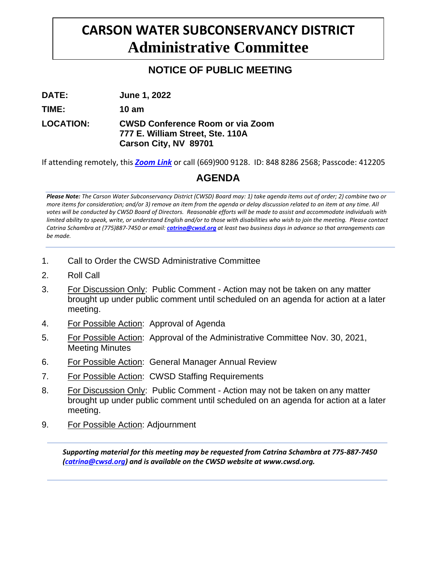# **CARSON WATER SUBCONSERVANCY DISTRICT Administrative Committee**

## **NOTICE OF PUBLIC MEETING**

**DATE: June 1, 2022**

**TIME: 10 am**

### **LOCATION: CWSD Conference Room or via Zoom 777 E. William Street, Ste. 110A Carson City, NV 89701**

If attending remotely, this *[Zoom](https://us02web.zoom.us/j/84882862568?pwd=a1I5a1NyVDM3UFdJMGcxQWJaY0VhZz09) Link* or call (669)900 9128. ID: 848 8286 2568; Passcode: 412205

## **AGENDA**

*Please Note: The Carson Water Subconservancy District (CWSD) Board may: 1) take agenda items out of order; 2) combine two or more items for consideration; and/or 3) remove an item from the agenda or delay discussion related to an item at any time. All votes will be conducted by CWSD Board of Directors. Reasonable efforts will be made to assist and accommodate individuals with limited ability to speak, write, or understand English and/or to those with disabilities who wish to join the meeting. Please contact Catrina Schambra at (775)887-7450 or email: [catrina@cwsd.org](mailto:catrina@cwsd.org) at least two business days in advance so that arrangements can be made.*

- 1. Call to Order the CWSD Administrative Committee
- 2. Roll Call
- 3. For Discussion Only: Public Comment Action may not be taken on any matter brought up under public comment until scheduled on an agenda for action at a later meeting.
- 4. For Possible Action: Approval of Agenda
- 5. For Possible Action: Approval of the Administrative Committee Nov. 30, 2021, Meeting Minutes
- 6. For Possible Action: General Manager Annual Review
- 7. For Possible Action: CWSD Staffing Requirements
- 8. For Discussion Only: Public Comment Action may not be taken on any matter brought up under public comment until scheduled on an agenda [for a](mailto:catrina@cwsd.org)ction at a later meeting.
- 9. For Possible Action: Adjournment

*Supporting material for this meeting may be requested from Catrina Schambra at 775-887-7450 (catrina@cwsd.org) and is available on the CWSD website a[t www.cwsd.org.](http://www.cwsd.org/)*